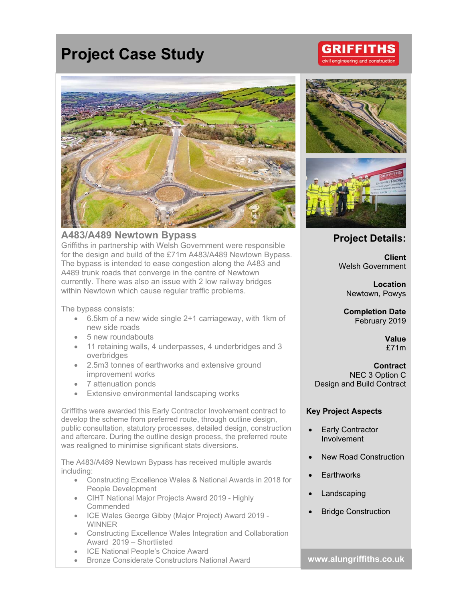# **Project Case Study**



### **A483/A489 Newtown Bypass**

Griffiths in partnership with Welsh Government were responsible for the design and build of the £71m A483/A489 Newtown Bypass. The bypass is intended to ease congestion along the A483 and A489 trunk roads that converge in the centre of Newtown currently. There was also an issue with 2 low railway bridges within Newtown which cause regular traffic problems.

The bypass consists:

- 6.5km of a new wide single 2+1 carriageway, with 1km of new side roads
- 5 new roundabouts
- 11 retaining walls, 4 underpasses, 4 underbridges and 3 overbridges
- 2.5m3 tonnes of earthworks and extensive ground improvement works
- 7 attenuation ponds
- **Extensive environmental landscaping works**

Griffiths were awarded this Early Contractor Involvement contract to develop the scheme from preferred route, through outline design, public consultation, statutory processes, detailed design, construction and aftercare. During the outline design process, the preferred route was realigned to minimise significant stats diversions.

The A483/A489 Newtown Bypass has received multiple awards including:

- Constructing Excellence Wales & National Awards in 2018 for People Development
- CIHT National Major Projects Award 2019 Highly **Commended**
- ICE Wales George Gibby (Major Project) Award 2019 WINNER
- Constructing Excellence Wales Integration and Collaboration Award 2019 – Shortlisted
- ICE National People's Choice Award
- Bronze Considerate Constructors National Award **www.alungriffiths.co.uk**







## **Project Details:**

**Client**  Welsh Government

**Location**  Newtown, Powys

**Completion Date**  February 2019

> **Value**  £71m

**Contract**  NEC 3 Option C Design and Build Contract

#### **Key Project Aspects**

- Early Contractor Involvement
- New Road Construction
- **Earthworks**
- Landscaping
- Bridge Construction